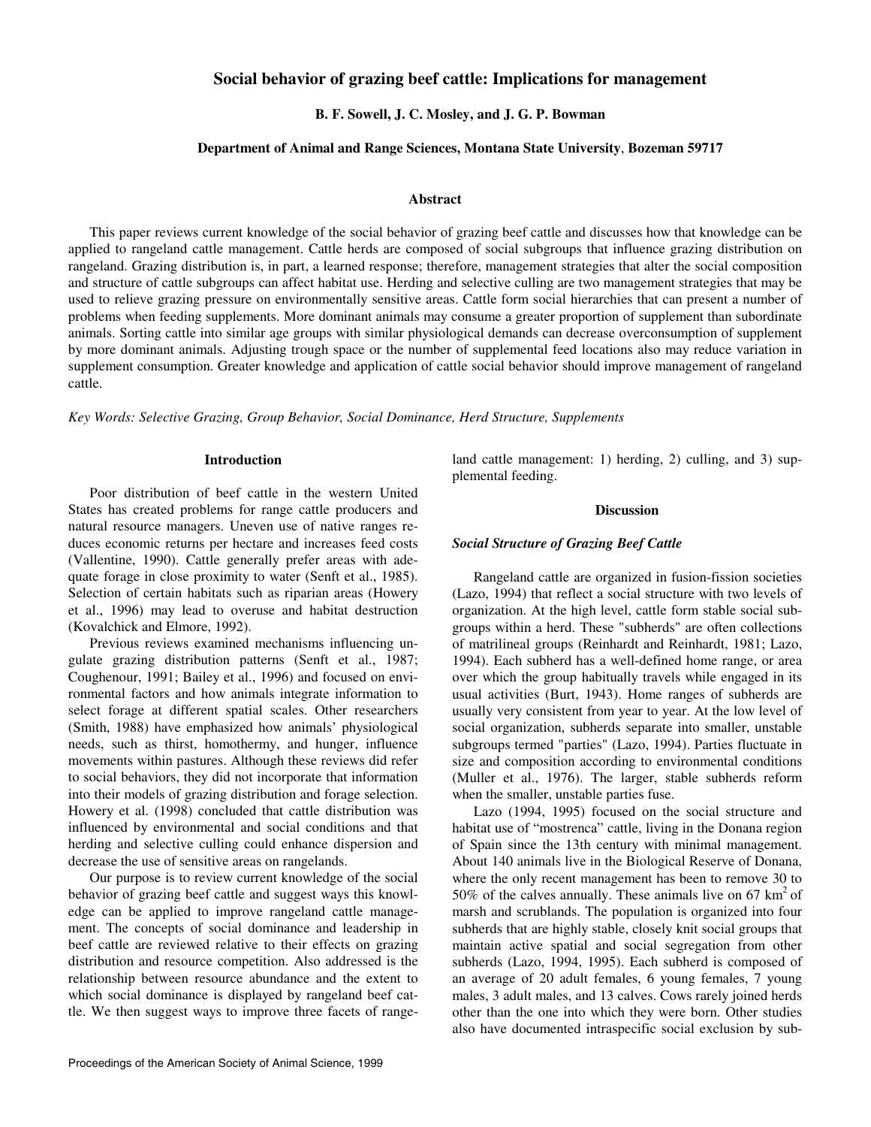# **Social behavior of grazing beef cattle: Implications for management**

 **B. F. Sowell, J. C. Mosley, and J. G. P. Bowman** 

### **Department of Animal and Range Sciences, Montana State University**, **Bozeman 59717**

#### **Abstract**

This paper reviews current knowledge of the social behavior of grazing beef cattle and discusses how that knowledge can be applied to rangeland cattle management. Cattle herds are composed of social subgroups that influence grazing distribution on rangeland. Grazing distribution is, in part, a learned response; therefore, management strategies that alter the social composition and structure of cattle subgroups can affect habitat use. Herding and selective culling are two management strategies that may be used to relieve grazing pressure on environmentally sensitive areas. Cattle form social hierarchies that can present a number of problems when feeding supplements. More dominant animals may consume a greater proportion of supplement than subordinate animals. Sorting cattle into similar age groups with similar physiological demands can decrease overconsumption of supplement by more dominant animals. Adjusting trough space or the number of supplemental feed locations also may reduce variation in supplement consumption. Greater knowledge and application of cattle social behavior should improve management of rangeland cattle.

*Key Words: Selective Grazing, Group Behavior, Social Dominance, Herd Structure, Supplements*

### **Introduction**

Poor distribution of beef cattle in the western United States has created problems for range cattle producers and natural resource managers. Uneven use of native ranges reduces economic returns per hectare and increases feed costs (Vallentine, 1990). Cattle generally prefer areas with adequate forage in close proximity to water (Senft et al., 1985). Selection of certain habitats such as riparian areas (Howery et al., 1996) may lead to overuse and habitat destruction (Kovalchick and Elmore, 1992).

Previous reviews examined mechanisms influencing ungulate grazing distribution patterns (Senft et al., 1987; Coughenour, 1991; Bailey et al., 1996) and focused on environmental factors and how animals integrate information to select forage at different spatial scales. Other researchers (Smith, 1988) have emphasized how animals' physiological needs, such as thirst, homothermy, and hunger, influence movements within pastures. Although these reviews did refer to social behaviors, they did not incorporate that information into their models of grazing distribution and forage selection. Howery et al. (1998) concluded that cattle distribution was influenced by environmental and social conditions and that herding and selective culling could enhance dispersion and decrease the use of sensitive areas on rangelands.

Our purpose is to review current knowledge of the social behavior of grazing beef cattle and suggest ways this knowledge can be applied to improve rangeland cattle management. The concepts of social dominance and leadership in beef cattle are reviewed relative to their effects on grazing distribution and resource competition. Also addressed is the relationship between resource abundance and the extent to which social dominance is displayed by rangeland beef cattle. We then suggest ways to improve three facets of rangeland cattle management: 1) herding, 2) culling, and 3) supplemental feeding.

#### **Discussion**

#### *Social Structure of Grazing Beef Cattle*

Rangeland cattle are organized in fusion-fission societies (Lazo, 1994) that reflect a social structure with two levels of organization. At the high level, cattle form stable social subgroups within a herd. These "subherds" are often collections of matrilineal groups (Reinhardt and Reinhardt, 1981; Lazo, 1994). Each subherd has a well-defined home range, or area over which the group habitually travels while engaged in its usual activities (Burt, 1943). Home ranges of subherds are usually very consistent from year to year. At the low level of social organization, subherds separate into smaller, unstable subgroups termed "parties" (Lazo, 1994). Parties fluctuate in size and composition according to environmental conditions (Muller et al., 1976). The larger, stable subherds reform when the smaller, unstable parties fuse.

Lazo (1994, 1995) focused on the social structure and habitat use of "mostrenca" cattle, living in the Donana region of Spain since the 13th century with minimal management. About 140 animals live in the Biological Reserve of Donana, where the only recent management has been to remove 30 to 50% of the calves annually. These animals live on 67  $km^2$  of marsh and scrublands. The population is organized into four subherds that are highly stable, closely knit social groups that maintain active spatial and social segregation from other subherds (Lazo, 1994, 1995). Each subherd is composed of an average of 20 adult females, 6 young females, 7 young males, 3 adult males, and 13 calves. Cows rarely joined herds other than the one into which they were born. Other studies also have documented intraspecific social exclusion by sub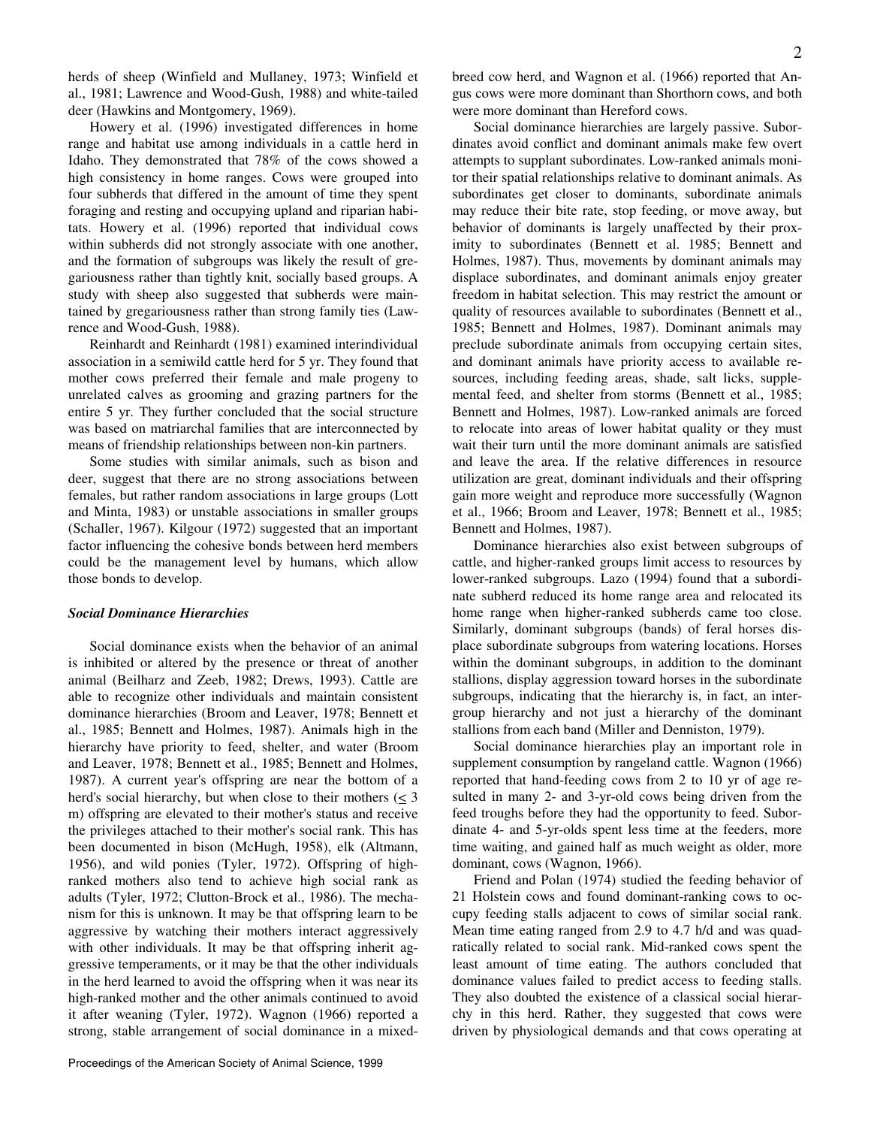herds of sheep (Winfield and Mullaney, 1973; Winfield et al., 1981; Lawrence and Wood-Gush, 1988) and white-tailed deer (Hawkins and Montgomery, 1969).

Howery et al. (1996) investigated differences in home range and habitat use among individuals in a cattle herd in Idaho. They demonstrated that 78% of the cows showed a high consistency in home ranges. Cows were grouped into four subherds that differed in the amount of time they spent foraging and resting and occupying upland and riparian habitats. Howery et al. (1996) reported that individual cows within subherds did not strongly associate with one another, and the formation of subgroups was likely the result of gregariousness rather than tightly knit, socially based groups. A study with sheep also suggested that subherds were maintained by gregariousness rather than strong family ties (Lawrence and Wood-Gush, 1988).

Reinhardt and Reinhardt (1981) examined interindividual association in a semiwild cattle herd for 5 yr. They found that mother cows preferred their female and male progeny to unrelated calves as grooming and grazing partners for the entire 5 yr. They further concluded that the social structure was based on matriarchal families that are interconnected by means of friendship relationships between non-kin partners.

Some studies with similar animals, such as bison and deer, suggest that there are no strong associations between females, but rather random associations in large groups (Lott and Minta, 1983) or unstable associations in smaller groups (Schaller, 1967). Kilgour (1972) suggested that an important factor influencing the cohesive bonds between herd members could be the management level by humans, which allow those bonds to develop.

#### *Social Dominance Hierarchies*

Social dominance exists when the behavior of an animal is inhibited or altered by the presence or threat of another animal (Beilharz and Zeeb, 1982; Drews, 1993). Cattle are able to recognize other individuals and maintain consistent dominance hierarchies (Broom and Leaver, 1978; Bennett et al., 1985; Bennett and Holmes, 1987). Animals high in the hierarchy have priority to feed, shelter, and water (Broom and Leaver, 1978; Bennett et al., 1985; Bennett and Holmes, 1987). A current year's offspring are near the bottom of a herd's social hierarchy, but when close to their mothers ( $\leq 3$ ) m) offspring are elevated to their mother's status and receive the privileges attached to their mother's social rank. This has been documented in bison (McHugh, 1958), elk (Altmann, 1956), and wild ponies (Tyler, 1972). Offspring of highranked mothers also tend to achieve high social rank as adults (Tyler, 1972; Clutton-Brock et al., 1986). The mechanism for this is unknown. It may be that offspring learn to be aggressive by watching their mothers interact aggressively with other individuals. It may be that offspring inherit aggressive temperaments, or it may be that the other individuals in the herd learned to avoid the offspring when it was near its high-ranked mother and the other animals continued to avoid it after weaning (Tyler, 1972). Wagnon (1966) reported a strong, stable arrangement of social dominance in a mixedbreed cow herd, and Wagnon et al. (1966) reported that Angus cows were more dominant than Shorthorn cows, and both were more dominant than Hereford cows.

Social dominance hierarchies are largely passive. Subordinates avoid conflict and dominant animals make few overt attempts to supplant subordinates. Low-ranked animals monitor their spatial relationships relative to dominant animals. As subordinates get closer to dominants, subordinate animals may reduce their bite rate, stop feeding, or move away, but behavior of dominants is largely unaffected by their proximity to subordinates (Bennett et al. 1985; Bennett and Holmes, 1987). Thus, movements by dominant animals may displace subordinates, and dominant animals enjoy greater freedom in habitat selection. This may restrict the amount or quality of resources available to subordinates (Bennett et al., 1985; Bennett and Holmes, 1987). Dominant animals may preclude subordinate animals from occupying certain sites, and dominant animals have priority access to available resources, including feeding areas, shade, salt licks, supplemental feed, and shelter from storms (Bennett et al., 1985; Bennett and Holmes, 1987). Low-ranked animals are forced to relocate into areas of lower habitat quality or they must wait their turn until the more dominant animals are satisfied and leave the area. If the relative differences in resource utilization are great, dominant individuals and their offspring gain more weight and reproduce more successfully (Wagnon et al., 1966; Broom and Leaver, 1978; Bennett et al., 1985; Bennett and Holmes, 1987).

Dominance hierarchies also exist between subgroups of cattle, and higher-ranked groups limit access to resources by lower-ranked subgroups. Lazo (1994) found that a subordinate subherd reduced its home range area and relocated its home range when higher-ranked subherds came too close. Similarly, dominant subgroups (bands) of feral horses displace subordinate subgroups from watering locations. Horses within the dominant subgroups, in addition to the dominant stallions, display aggression toward horses in the subordinate subgroups, indicating that the hierarchy is, in fact, an intergroup hierarchy and not just a hierarchy of the dominant stallions from each band (Miller and Denniston, 1979).

Social dominance hierarchies play an important role in supplement consumption by rangeland cattle. Wagnon (1966) reported that hand-feeding cows from 2 to 10 yr of age resulted in many 2- and 3-yr-old cows being driven from the feed troughs before they had the opportunity to feed. Subordinate 4- and 5-yr-olds spent less time at the feeders, more time waiting, and gained half as much weight as older, more dominant, cows (Wagnon, 1966).

Friend and Polan (1974) studied the feeding behavior of 21 Holstein cows and found dominant-ranking cows to occupy feeding stalls adjacent to cows of similar social rank. Mean time eating ranged from 2.9 to 4.7 h/d and was quadratically related to social rank. Mid-ranked cows spent the least amount of time eating. The authors concluded that dominance values failed to predict access to feeding stalls. They also doubted the existence of a classical social hierarchy in this herd. Rather, they suggested that cows were driven by physiological demands and that cows operating at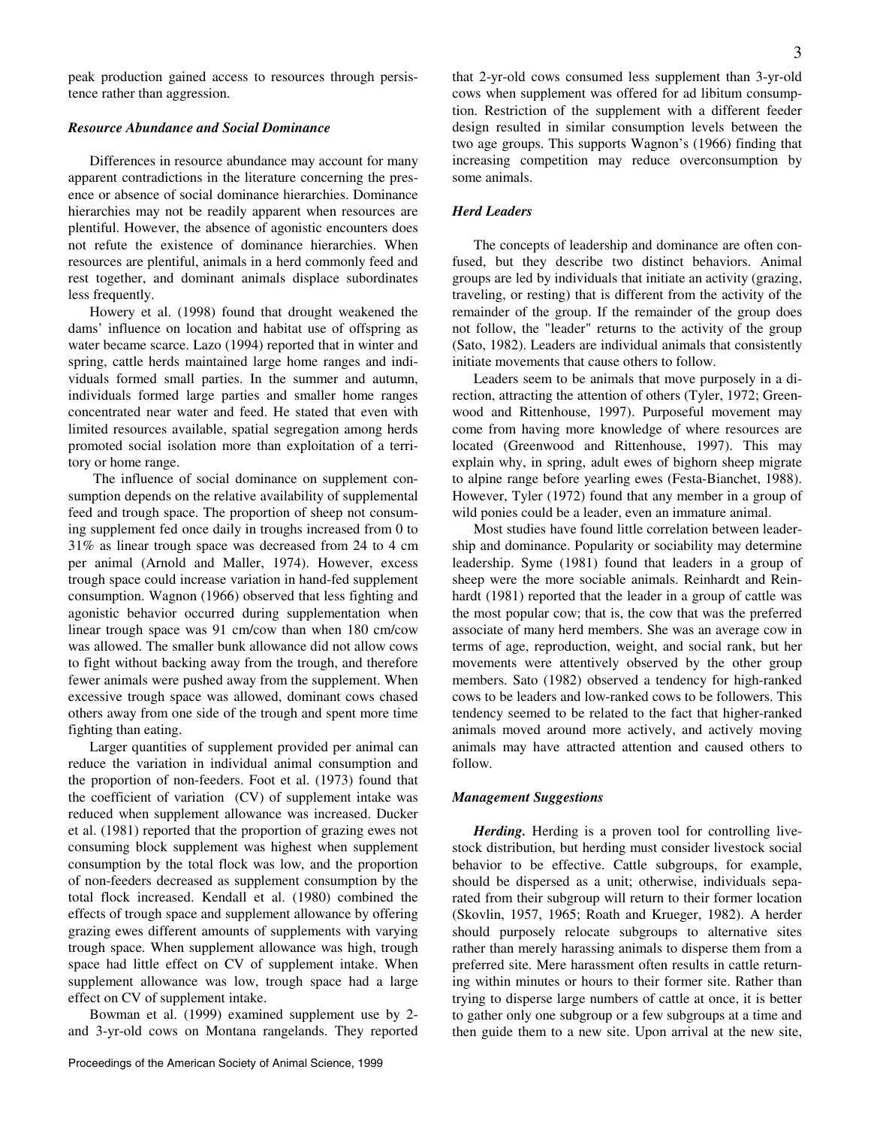peak production gained access to resources through persistence rather than aggression.

#### *Resource Abundance and Social Dominance*

Differences in resource abundance may account for many apparent contradictions in the literature concerning the presence or absence of social dominance hierarchies. Dominance hierarchies may not be readily apparent when resources are plentiful. However, the absence of agonistic encounters does not refute the existence of dominance hierarchies. When resources are plentiful, animals in a herd commonly feed and rest together, and dominant animals displace subordinates less frequently.

Howery et al. (1998) found that drought weakened the dams' influence on location and habitat use of offspring as water became scarce. Lazo (1994) reported that in winter and spring, cattle herds maintained large home ranges and individuals formed small parties. In the summer and autumn, individuals formed large parties and smaller home ranges concentrated near water and feed. He stated that even with limited resources available, spatial segregation among herds promoted social isolation more than exploitation of a territory or home range.

 The influence of social dominance on supplement consumption depends on the relative availability of supplemental feed and trough space. The proportion of sheep not consuming supplement fed once daily in troughs increased from 0 to 31% as linear trough space was decreased from 24 to 4 cm per animal (Arnold and Maller, 1974). However, excess trough space could increase variation in hand-fed supplement consumption. Wagnon (1966) observed that less fighting and agonistic behavior occurred during supplementation when linear trough space was 91 cm/cow than when 180 cm/cow was allowed. The smaller bunk allowance did not allow cows to fight without backing away from the trough, and therefore fewer animals were pushed away from the supplement. When excessive trough space was allowed, dominant cows chased others away from one side of the trough and spent more time fighting than eating.

Larger quantities of supplement provided per animal can reduce the variation in individual animal consumption and the proportion of non-feeders. Foot et al. (1973) found that the coefficient of variation (CV) of supplement intake was reduced when supplement allowance was increased. Ducker et al. (1981) reported that the proportion of grazing ewes not consuming block supplement was highest when supplement consumption by the total flock was low, and the proportion of non-feeders decreased as supplement consumption by the total flock increased. Kendall et al. (1980) combined the effects of trough space and supplement allowance by offering grazing ewes different amounts of supplements with varying trough space. When supplement allowance was high, trough space had little effect on CV of supplement intake. When supplement allowance was low, trough space had a large effect on CV of supplement intake.

Bowman et al. (1999) examined supplement use by 2 and 3-yr-old cows on Montana rangelands. They reported that 2-yr-old cows consumed less supplement than 3-yr-old cows when supplement was offered for ad libitum consumption. Restriction of the supplement with a different feeder design resulted in similar consumption levels between the two age groups. This supports Wagnon's (1966) finding that increasing competition may reduce overconsumption by some animals.

## *Herd Leaders*

The concepts of leadership and dominance are often confused, but they describe two distinct behaviors. Animal groups are led by individuals that initiate an activity (grazing, traveling, or resting) that is different from the activity of the remainder of the group. If the remainder of the group does not follow, the "leader" returns to the activity of the group (Sato, 1982). Leaders are individual animals that consistently initiate movements that cause others to follow.

Leaders seem to be animals that move purposely in a direction, attracting the attention of others (Tyler, 1972; Greenwood and Rittenhouse, 1997). Purposeful movement may come from having more knowledge of where resources are located (Greenwood and Rittenhouse, 1997). This may explain why, in spring, adult ewes of bighorn sheep migrate to alpine range before yearling ewes (Festa-Bianchet, 1988). However, Tyler (1972) found that any member in a group of wild ponies could be a leader, even an immature animal.

Most studies have found little correlation between leadership and dominance. Popularity or sociability may determine leadership. Syme (1981) found that leaders in a group of sheep were the more sociable animals. Reinhardt and Reinhardt (1981) reported that the leader in a group of cattle was the most popular cow; that is, the cow that was the preferred associate of many herd members. She was an average cow in terms of age, reproduction, weight, and social rank, but her movements were attentively observed by the other group members. Sato (1982) observed a tendency for high-ranked cows to be leaders and low-ranked cows to be followers. This tendency seemed to be related to the fact that higher-ranked animals moved around more actively, and actively moving animals may have attracted attention and caused others to follow.

### *Management Suggestions*

*Herding.* Herding is a proven tool for controlling livestock distribution, but herding must consider livestock social behavior to be effective. Cattle subgroups, for example, should be dispersed as a unit; otherwise, individuals separated from their subgroup will return to their former location (Skovlin, 1957, 1965; Roath and Krueger, 1982). A herder should purposely relocate subgroups to alternative sites rather than merely harassing animals to disperse them from a preferred site. Mere harassment often results in cattle returning within minutes or hours to their former site. Rather than trying to disperse large numbers of cattle at once, it is better to gather only one subgroup or a few subgroups at a time and then guide them to a new site. Upon arrival at the new site,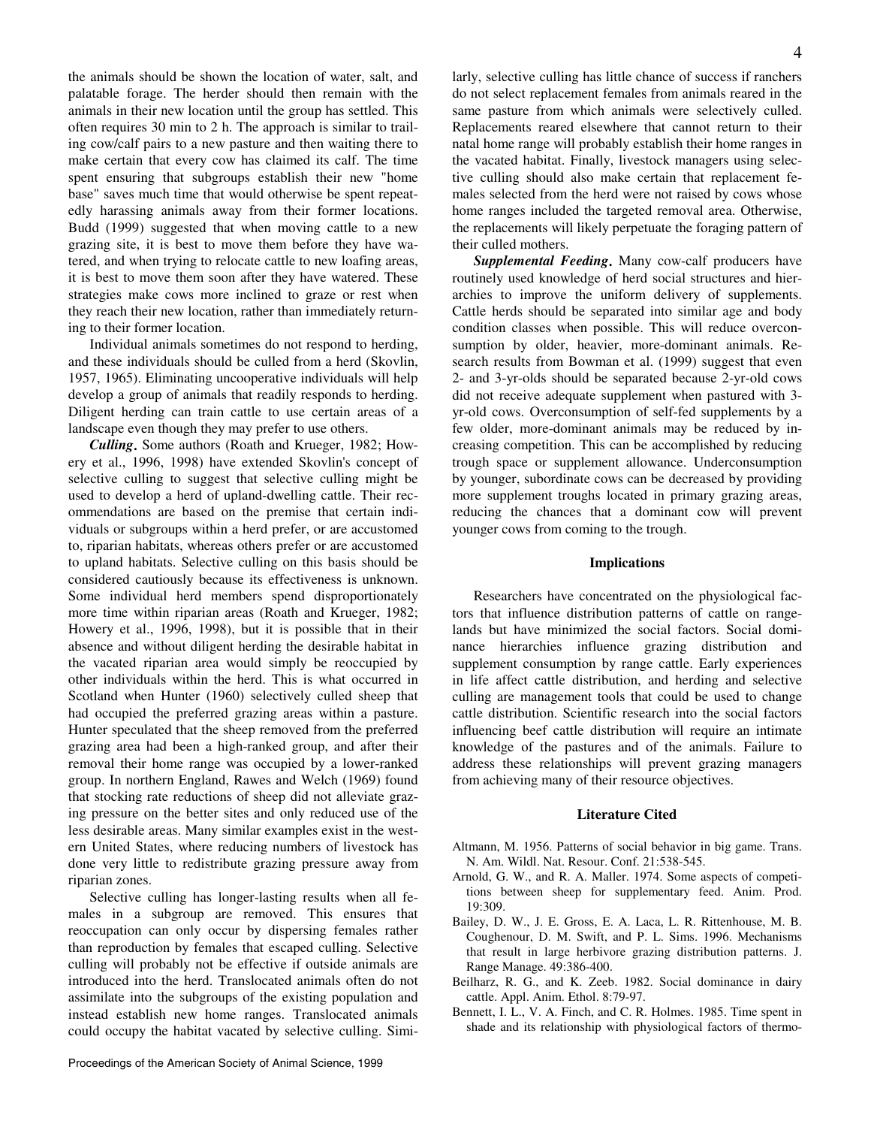the animals should be shown the location of water, salt, and palatable forage. The herder should then remain with the animals in their new location until the group has settled. This often requires 30 min to 2 h. The approach is similar to trailing cow/calf pairs to a new pasture and then waiting there to make certain that every cow has claimed its calf. The time spent ensuring that subgroups establish their new "home base" saves much time that would otherwise be spent repeatedly harassing animals away from their former locations. Budd (1999) suggested that when moving cattle to a new grazing site, it is best to move them before they have watered, and when trying to relocate cattle to new loafing areas, it is best to move them soon after they have watered. These strategies make cows more inclined to graze or rest when they reach their new location, rather than immediately returning to their former location.

Individual animals sometimes do not respond to herding, and these individuals should be culled from a herd (Skovlin, 1957, 1965). Eliminating uncooperative individuals will help develop a group of animals that readily responds to herding. Diligent herding can train cattle to use certain areas of a landscape even though they may prefer to use others.

*Culling***.** Some authors (Roath and Krueger, 1982; Howery et al., 1996, 1998) have extended Skovlin's concept of selective culling to suggest that selective culling might be used to develop a herd of upland-dwelling cattle. Their recommendations are based on the premise that certain individuals or subgroups within a herd prefer, or are accustomed to, riparian habitats, whereas others prefer or are accustomed to upland habitats. Selective culling on this basis should be considered cautiously because its effectiveness is unknown. Some individual herd members spend disproportionately more time within riparian areas (Roath and Krueger, 1982; Howery et al., 1996, 1998), but it is possible that in their absence and without diligent herding the desirable habitat in the vacated riparian area would simply be reoccupied by other individuals within the herd. This is what occurred in Scotland when Hunter (1960) selectively culled sheep that had occupied the preferred grazing areas within a pasture. Hunter speculated that the sheep removed from the preferred grazing area had been a high-ranked group, and after their removal their home range was occupied by a lower-ranked group. In northern England, Rawes and Welch (1969) found that stocking rate reductions of sheep did not alleviate grazing pressure on the better sites and only reduced use of the less desirable areas. Many similar examples exist in the western United States, where reducing numbers of livestock has done very little to redistribute grazing pressure away from riparian zones.

Selective culling has longer-lasting results when all females in a subgroup are removed. This ensures that reoccupation can only occur by dispersing females rather than reproduction by females that escaped culling. Selective culling will probably not be effective if outside animals are introduced into the herd. Translocated animals often do not assimilate into the subgroups of the existing population and instead establish new home ranges. Translocated animals could occupy the habitat vacated by selective culling. Similarly, selective culling has little chance of success if ranchers do not select replacement females from animals reared in the same pasture from which animals were selectively culled. Replacements reared elsewhere that cannot return to their natal home range will probably establish their home ranges in the vacated habitat. Finally, livestock managers using selective culling should also make certain that replacement females selected from the herd were not raised by cows whose home ranges included the targeted removal area. Otherwise, the replacements will likely perpetuate the foraging pattern of their culled mothers.

*Supplemental Feeding***.** Many cow-calf producers have routinely used knowledge of herd social structures and hierarchies to improve the uniform delivery of supplements. Cattle herds should be separated into similar age and body condition classes when possible. This will reduce overconsumption by older, heavier, more-dominant animals. Research results from Bowman et al. (1999) suggest that even 2- and 3-yr-olds should be separated because 2-yr-old cows did not receive adequate supplement when pastured with 3 yr-old cows. Overconsumption of self-fed supplements by a few older, more-dominant animals may be reduced by increasing competition. This can be accomplished by reducing trough space or supplement allowance. Underconsumption by younger, subordinate cows can be decreased by providing more supplement troughs located in primary grazing areas, reducing the chances that a dominant cow will prevent younger cows from coming to the trough.

#### **Implications**

Researchers have concentrated on the physiological factors that influence distribution patterns of cattle on rangelands but have minimized the social factors. Social dominance hierarchies influence grazing distribution and supplement consumption by range cattle. Early experiences in life affect cattle distribution, and herding and selective culling are management tools that could be used to change cattle distribution. Scientific research into the social factors influencing beef cattle distribution will require an intimate knowledge of the pastures and of the animals. Failure to address these relationships will prevent grazing managers from achieving many of their resource objectives.

#### **Literature Cited**

- Altmann, M. 1956. Patterns of social behavior in big game. Trans. N. Am. Wildl. Nat. Resour. Conf. 21:538-545.
- Arnold, G. W., and R. A. Maller. 1974. Some aspects of competitions between sheep for supplementary feed. Anim. Prod. 19:309.
- Bailey, D. W., J. E. Gross, E. A. Laca, L. R. Rittenhouse, M. B. Coughenour, D. M. Swift, and P. L. Sims. 1996. Mechanisms that result in large herbivore grazing distribution patterns. J. Range Manage. 49:386-400.
- Beilharz, R. G., and K. Zeeb. 1982. Social dominance in dairy cattle. Appl. Anim. Ethol. 8:79-97.
- Bennett, I. L., V. A. Finch, and C. R. Holmes. 1985. Time spent in shade and its relationship with physiological factors of thermo-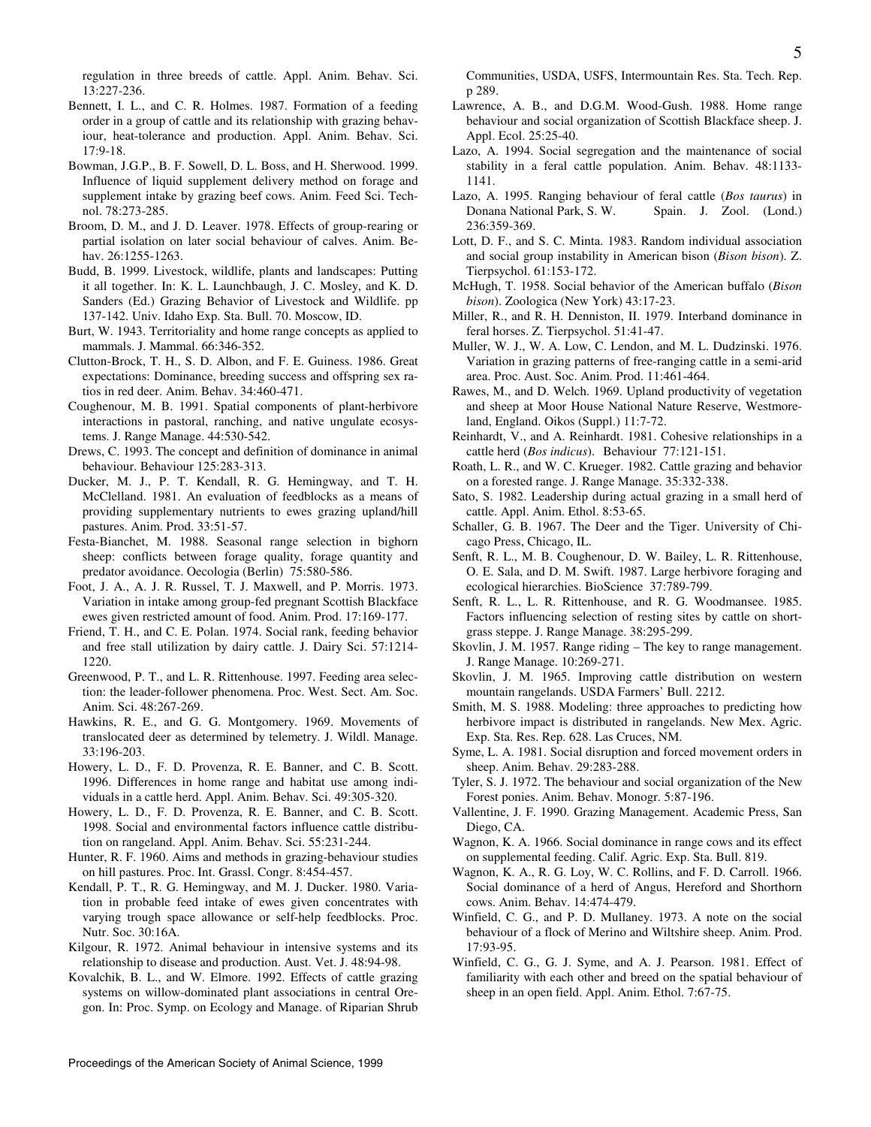regulation in three breeds of cattle. Appl. Anim. Behav. Sci. 13:227-236.

- Bennett, I. L., and C. R. Holmes. 1987. Formation of a feeding order in a group of cattle and its relationship with grazing behaviour, heat-tolerance and production. Appl. Anim. Behav. Sci. 17:9-18.
- Bowman, J.G.P., B. F. Sowell, D. L. Boss, and H. Sherwood. 1999. Influence of liquid supplement delivery method on forage and supplement intake by grazing beef cows. Anim. Feed Sci. Technol. 78:273-285.
- Broom, D. M., and J. D. Leaver. 1978. Effects of group-rearing or partial isolation on later social behaviour of calves. Anim. Behav. 26:1255-1263.
- Budd, B. 1999. Livestock, wildlife, plants and landscapes: Putting it all together. In: K. L. Launchbaugh, J. C. Mosley, and K. D. Sanders (Ed.) Grazing Behavior of Livestock and Wildlife. pp 137-142. Univ. Idaho Exp. Sta. Bull. 70. Moscow, ID.
- Burt, W. 1943. Territoriality and home range concepts as applied to mammals. J. Mammal. 66:346-352.
- Clutton-Brock, T. H., S. D. Albon, and F. E. Guiness. 1986. Great expectations: Dominance, breeding success and offspring sex ratios in red deer. Anim. Behav. 34:460-471.
- Coughenour, M. B. 1991. Spatial components of plant-herbivore interactions in pastoral, ranching, and native ungulate ecosystems. J. Range Manage. 44:530-542.
- Drews, C. 1993. The concept and definition of dominance in animal behaviour. Behaviour 125:283-313.
- Ducker, M. J., P. T. Kendall, R. G. Hemingway, and T. H. McClelland. 1981. An evaluation of feedblocks as a means of providing supplementary nutrients to ewes grazing upland/hill pastures. Anim. Prod. 33:51-57.
- Festa-Bianchet, M. 1988. Seasonal range selection in bighorn sheep: conflicts between forage quality, forage quantity and predator avoidance. Oecologia (Berlin) 75:580-586.
- Foot, J. A., A. J. R. Russel, T. J. Maxwell, and P. Morris. 1973. Variation in intake among group-fed pregnant Scottish Blackface ewes given restricted amount of food. Anim. Prod. 17:169-177.
- Friend, T. H., and C. E. Polan. 1974. Social rank, feeding behavior and free stall utilization by dairy cattle. J. Dairy Sci. 57:1214- 1220.
- Greenwood, P. T., and L. R. Rittenhouse. 1997. Feeding area selection: the leader-follower phenomena. Proc. West. Sect. Am. Soc. Anim. Sci. 48:267-269.
- Hawkins, R. E., and G. G. Montgomery. 1969. Movements of translocated deer as determined by telemetry. J. Wildl. Manage. 33:196-203.
- Howery, L. D., F. D. Provenza, R. E. Banner, and C. B. Scott. 1996. Differences in home range and habitat use among individuals in a cattle herd. Appl. Anim. Behav. Sci. 49:305-320.
- Howery, L. D., F. D. Provenza, R. E. Banner, and C. B. Scott. 1998. Social and environmental factors influence cattle distribution on rangeland. Appl. Anim. Behav. Sci. 55:231-244.
- Hunter, R. F. 1960. Aims and methods in grazing-behaviour studies on hill pastures. Proc. Int. Grassl. Congr. 8:454-457.
- Kendall, P. T., R. G. Hemingway, and M. J. Ducker. 1980. Variation in probable feed intake of ewes given concentrates with varying trough space allowance or self-help feedblocks. Proc. Nutr. Soc. 30:16A.
- Kilgour, R. 1972. Animal behaviour in intensive systems and its relationship to disease and production. Aust. Vet. J. 48:94-98.
- Kovalchik, B. L., and W. Elmore. 1992. Effects of cattle grazing systems on willow-dominated plant associations in central Oregon. In: Proc. Symp. on Ecology and Manage. of Riparian Shrub

Communities, USDA, USFS, Intermountain Res. Sta. Tech. Rep. p 289.

- Lawrence, A. B., and D.G.M. Wood-Gush. 1988. Home range behaviour and social organization of Scottish Blackface sheep. J. Appl. Ecol. 25:25-40.
- Lazo, A. 1994. Social segregation and the maintenance of social stability in a feral cattle population. Anim. Behav. 48:1133- 1141.
- Lazo, A. 1995. Ranging behaviour of feral cattle (*Bos taurus*) in Donana National Park, S. W. Spain. J. Zool. (Lond.) 236:359-369.
- Lott, D. F., and S. C. Minta. 1983. Random individual association and social group instability in American bison (*Bison bison*). Z. Tierpsychol. 61:153-172.
- McHugh, T. 1958. Social behavior of the American buffalo (*Bison bison*). Zoologica (New York) 43:17-23.
- Miller, R., and R. H. Denniston, II. 1979. Interband dominance in feral horses. Z. Tierpsychol. 51:41-47.
- Muller, W. J., W. A. Low, C. Lendon, and M. L. Dudzinski. 1976. Variation in grazing patterns of free-ranging cattle in a semi-arid area. Proc. Aust. Soc. Anim. Prod. 11:461-464.
- Rawes, M., and D. Welch. 1969. Upland productivity of vegetation and sheep at Moor House National Nature Reserve, Westmoreland, England. Oikos (Suppl.) 11:7-72.
- Reinhardt, V., and A. Reinhardt. 1981. Cohesive relationships in a cattle herd (*Bos indicus*). Behaviour 77:121-151.
- Roath, L. R., and W. C. Krueger. 1982. Cattle grazing and behavior on a forested range. J. Range Manage. 35:332-338.
- Sato, S. 1982. Leadership during actual grazing in a small herd of cattle. Appl. Anim. Ethol. 8:53-65.
- Schaller, G. B. 1967. The Deer and the Tiger. University of Chicago Press, Chicago, IL.
- Senft, R. L., M. B. Coughenour, D. W. Bailey, L. R. Rittenhouse, O. E. Sala, and D. M. Swift. 1987. Large herbivore foraging and ecological hierarchies. BioScience 37:789-799.
- Senft, R. L., L. R. Rittenhouse, and R. G. Woodmansee. 1985. Factors influencing selection of resting sites by cattle on shortgrass steppe. J. Range Manage. 38:295-299.
- Skovlin, J. M. 1957. Range riding The key to range management. J. Range Manage. 10:269-271.
- Skovlin, J. M. 1965. Improving cattle distribution on western mountain rangelands. USDA Farmers' Bull. 2212.
- Smith, M. S. 1988. Modeling: three approaches to predicting how herbivore impact is distributed in rangelands. New Mex. Agric. Exp. Sta. Res. Rep. 628. Las Cruces, NM.
- Syme, L. A. 1981. Social disruption and forced movement orders in sheep. Anim. Behav. 29:283-288.
- Tyler, S. J. 1972. The behaviour and social organization of the New Forest ponies. Anim. Behav. Monogr. 5:87-196.
- Vallentine, J. F. 1990. Grazing Management. Academic Press, San Diego, CA.
- Wagnon, K. A. 1966. Social dominance in range cows and its effect on supplemental feeding. Calif. Agric. Exp. Sta. Bull. 819.
- Wagnon, K. A., R. G. Loy, W. C. Rollins, and F. D. Carroll. 1966. Social dominance of a herd of Angus, Hereford and Shorthorn cows. Anim. Behav. 14:474-479.
- Winfield, C. G., and P. D. Mullaney. 1973. A note on the social behaviour of a flock of Merino and Wiltshire sheep. Anim. Prod. 17:93-95.
- Winfield, C. G., G. J. Syme, and A. J. Pearson. 1981. Effect of familiarity with each other and breed on the spatial behaviour of sheep in an open field. Appl. Anim. Ethol. 7:67-75.